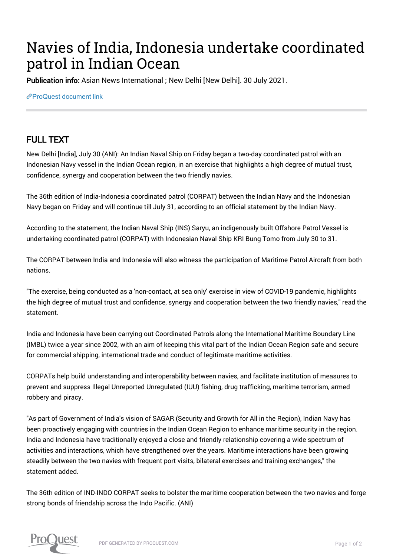## Navies of India, Indonesia undertake coordinated patrol in Indian Ocean

Publication info: Asian News International ; New Delhi [New Delhi]. 30 July 2021.

 $e^{\phi}$ [ProQuest document link](http://132.174.250.227/newspapers/navies-india-indonesia-undertake-coordinated/docview/2556458986/se-2?accountid=8394)

## FULL TEXT

New Delhi [India], July 30 (ANI): An Indian Naval Ship on Friday began a two-day coordinated patrol with an Indonesian Navy vessel in the Indian Ocean region, in an exercise that highlights a high degree of mutual trust, confidence, synergy and cooperation between the two friendly navies.

The 36th edition of India-Indonesia coordinated patrol (CORPAT) between the Indian Navy and the Indonesian Navy began on Friday and will continue till July 31, according to an official statement by the Indian Navy.

According to the statement, the Indian Naval Ship (INS) Saryu, an indigenously built Offshore Patrol Vessel is undertaking coordinated patrol (CORPAT) with Indonesian Naval Ship KRI Bung Tomo from July 30 to 31.

The CORPAT between India and Indonesia will also witness the participation of Maritime Patrol Aircraft from both nations.

"The exercise, being conducted as a 'non-contact, at sea only' exercise in view of COVID-19 pandemic, highlights the high degree of mutual trust and confidence, synergy and cooperation between the two friendly navies," read the statement.

India and Indonesia have been carrying out Coordinated Patrols along the International Maritime Boundary Line (IMBL) twice a year since 2002, with an aim of keeping this vital part of the Indian Ocean Region safe and secure for commercial shipping, international trade and conduct of legitimate maritime activities.

CORPATs help build understanding and interoperability between navies, and facilitate institution of measures to prevent and suppress Illegal Unreported Unregulated (IUU) fishing, drug trafficking, maritime terrorism, armed robbery and piracy.

"As part of Government of India's vision of SAGAR (Security and Growth for All in the Region), Indian Navy has been proactively engaging with countries in the Indian Ocean Region to enhance maritime security in the region. India and Indonesia have traditionally enjoyed a close and friendly relationship covering a wide spectrum of activities and interactions, which have strengthened over the years. Maritime interactions have been growing steadily between the two navies with frequent port visits, bilateral exercises and training exchanges," the statement added.

The 36th edition of IND-INDO CORPAT seeks to bolster the maritime cooperation between the two navies and forge strong bonds of friendship across the Indo Pacific. (ANI)